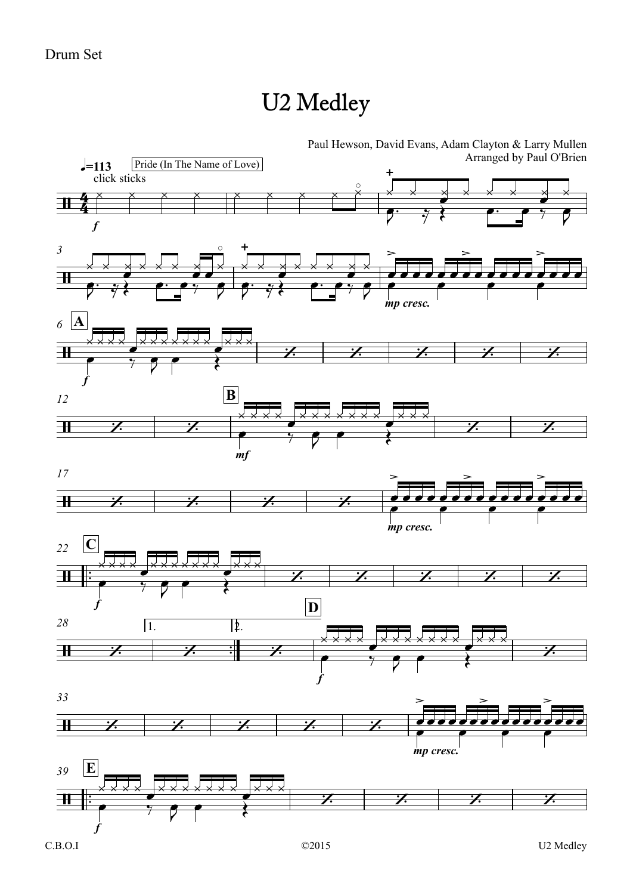## U2 Medley



Paul Hewson, David Evans, Adam Clayton & Larry Mullen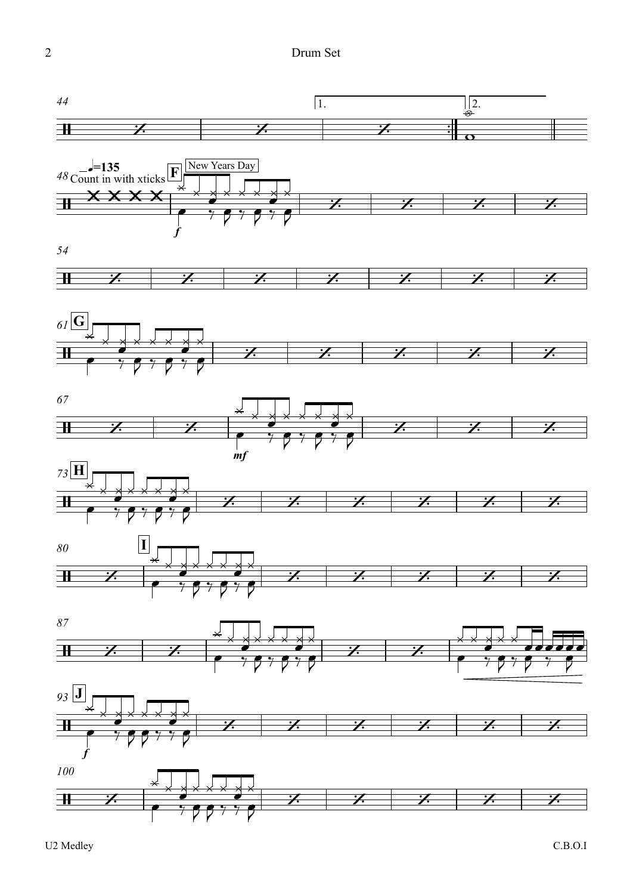

U2 Medley

 $C.B.O.I$